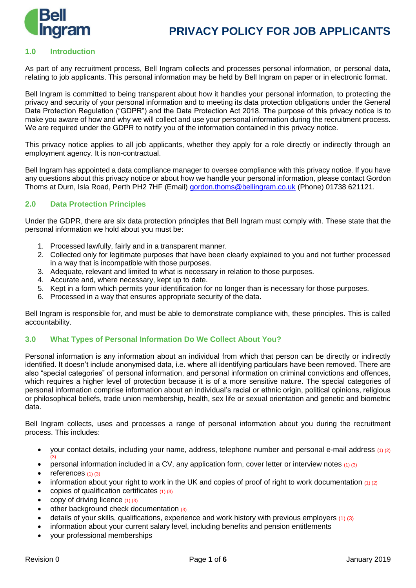

#### **1.0 Introduction**

As part of any recruitment process, Bell Ingram collects and processes personal information, or personal data, relating to job applicants. This personal information may be held by Bell Ingram on paper or in electronic format.

Bell Ingram is committed to being transparent about how it handles your personal information, to protecting the privacy and security of your personal information and to meeting its data protection obligations under the General Data Protection Regulation ("GDPR") and the Data Protection Act 2018. The purpose of this privacy notice is to make you aware of how and why we will collect and use your personal information during the recruitment process. We are required under the GDPR to notify you of the information contained in this privacy notice.

This privacy notice applies to all job applicants, whether they apply for a role directly or indirectly through an employment agency. It is non-contractual.

Bell Ingram has appointed a data compliance manager to oversee compliance with this privacy notice. If you have any questions about this privacy notice or about how we handle your personal information, please contact Gordon Thoms at Durn, Isla Road, Perth PH2 7HF (Email) [gordon.thoms@bellingram.co.uk](mailto:gordon.thoms@bellingram.co.uk) (Phone) 01738 621121.

#### **2.0 Data Protection Principles**

Under the GDPR, there are six data protection principles that Bell Ingram must comply with. These state that the personal information we hold about you must be:

- 1. Processed lawfully, fairly and in a transparent manner.
- 2. Collected only for legitimate purposes that have been clearly explained to you and not further processed in a way that is incompatible with those purposes.
- 3. Adequate, relevant and limited to what is necessary in relation to those purposes.
- 4. Accurate and, where necessary, kept up to date.
- 5. Kept in a form which permits your identification for no longer than is necessary for those purposes.
- 6. Processed in a way that ensures appropriate security of the data.

Bell Ingram is responsible for, and must be able to demonstrate compliance with, these principles. This is called accountability.

#### **3.0 What Types of Personal Information Do We Collect About You?**

Personal information is any information about an individual from which that person can be directly or indirectly identified. It doesn't include anonymised data, i.e. where all identifying particulars have been removed. There are also "special categories" of personal information, and personal information on criminal convictions and offences, which requires a higher level of protection because it is of a more sensitive nature. The special categories of personal information comprise information about an individual's racial or ethnic origin, political opinions, religious or philosophical beliefs, trade union membership, health, sex life or sexual orientation and genetic and biometric data.

Bell Ingram collects, uses and processes a range of personal information about you during the recruitment process. This includes:

- your contact details, including your name, address, telephone number and personal e-mail address (1) (2) (3)
- personal information included in a CV, any application form, cover letter or interview notes (1) (3)
- references  $(1)$   $(3)$
- information about your right to work in the UK and copies of proof of right to work documentation  $(1)$  (2)
- copies of qualification certificates  $(1)$   $(3)$
- copy of driving licence  $(1)$   $(3)$
- other background check documentation (3)
- details of your skills, qualifications, experience and work history with previous employers (1) (3)
- information about your current salary level, including benefits and pension entitlements
- your professional memberships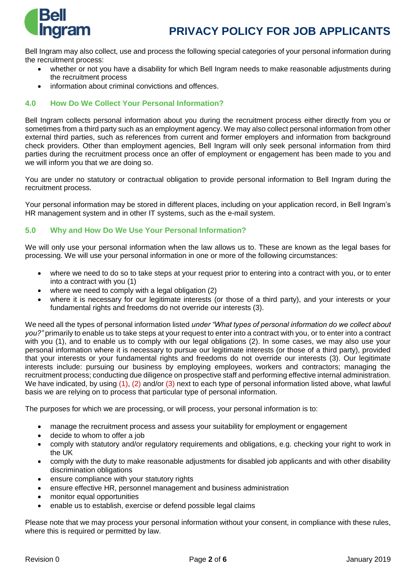

Bell Ingram may also collect, use and process the following special categories of your personal information during the recruitment process:

- whether or not you have a disability for which Bell Ingram needs to make reasonable adjustments during the recruitment process
- information about criminal convictions and offences.

## **4.0 How Do We Collect Your Personal Information?**

Bell Ingram collects personal information about you during the recruitment process either directly from you or sometimes from a third party such as an employment agency. We may also collect personal information from other external third parties, such as references from current and former employers and information from background check providers. Other than employment agencies, Bell Ingram will only seek personal information from third parties during the recruitment process once an offer of employment or engagement has been made to you and we will inform you that we are doing so.

You are under no statutory or contractual obligation to provide personal information to Bell Ingram during the recruitment process.

Your personal information may be stored in different places, including on your application record, in Bell Ingram's HR management system and in other IT systems, such as the e-mail system.

## **5.0 Why and How Do We Use Your Personal Information?**

We will only use your personal information when the law allows us to. These are known as the legal bases for processing. We will use your personal information in one or more of the following circumstances:

- where we need to do so to take steps at your request prior to entering into a contract with you, or to enter into a contract with you (1)
- where we need to comply with a legal obligation (2)
- where it is necessary for our legitimate interests (or those of a third party), and your interests or your fundamental rights and freedoms do not override our interests (3).

We need all the types of personal information listed *under "What types of personal information do we collect about you?"* primarily to enable us to take steps at your request to enter into a contract with you, or to enter into a contract with you (1), and to enable us to comply with our legal obligations (2). In some cases, we may also use your personal information where it is necessary to pursue our legitimate interests (or those of a third party), provided that your interests or your fundamental rights and freedoms do not override our interests (3). Our legitimate interests include: pursuing our business by employing employees, workers and contractors; managing the recruitment process; conducting due diligence on prospective staff and performing effective internal administration. We have indicated, by using (1), (2) and/or (3) next to each type of personal information listed above, what lawful basis we are relying on to process that particular type of personal information.

The purposes for which we are processing, or will process, your personal information is to:

- manage the recruitment process and assess your suitability for employment or engagement
- decide to whom to offer a job
- comply with statutory and/or regulatory requirements and obligations, e.g. checking your right to work in the UK
- comply with the duty to make reasonable adjustments for disabled job applicants and with other disability discrimination obligations
- ensure compliance with your statutory rights
- ensure effective HR, personnel management and business administration
- monitor equal opportunities
- enable us to establish, exercise or defend possible legal claims

Please note that we may process your personal information without your consent, in compliance with these rules, where this is required or permitted by law.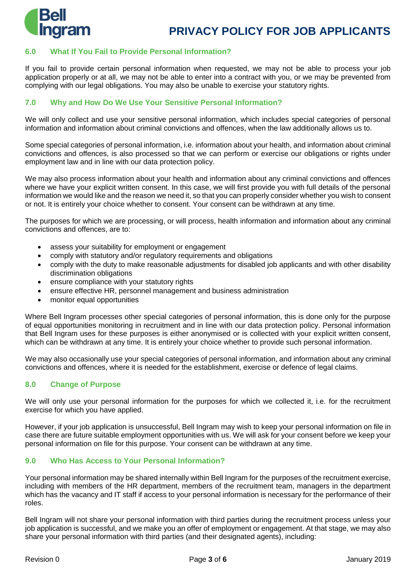

## **6.0 What If You Fail to Provide Personal Information?**

If you fail to provide certain personal information when requested, we may not be able to process your job application properly or at all, we may not be able to enter into a contract with you, or we may be prevented from complying with our legal obligations. You may also be unable to exercise your statutory rights.

### **7.0 Why and How Do We Use Your Sensitive Personal Information?**

We will only collect and use your sensitive personal information, which includes special categories of personal information and information about criminal convictions and offences, when the law additionally allows us to.

Some special categories of personal information, i.e. information about your health, and information about criminal convictions and offences, is also processed so that we can perform or exercise our obligations or rights under employment law and in line with our data protection policy.

We may also process information about your health and information about any criminal convictions and offences where we have your explicit written consent. In this case, we will first provide you with full details of the personal information we would like and the reason we need it, so that you can properly consider whether you wish to consent or not. It is entirely your choice whether to consent. Your consent can be withdrawn at any time.

The purposes for which we are processing, or will process, health information and information about any criminal convictions and offences, are to:

- assess your suitability for employment or engagement
- comply with statutory and/or regulatory requirements and obligations
- comply with the duty to make reasonable adjustments for disabled job applicants and with other disability discrimination obligations
- ensure compliance with your statutory rights
- ensure effective HR, personnel management and business administration
- monitor equal opportunities

Where Bell Ingram processes other special categories of personal information, this is done only for the purpose of equal opportunities monitoring in recruitment and in line with our data protection policy. Personal information that Bell Ingram uses for these purposes is either anonymised or is collected with your explicit written consent, which can be withdrawn at any time. It is entirely your choice whether to provide such personal information.

We may also occasionally use your special categories of personal information, and information about any criminal convictions and offences, where it is needed for the establishment, exercise or defence of legal claims.

#### **8.0 Change of Purpose**

We will only use your personal information for the purposes for which we collected it, i.e. for the recruitment exercise for which you have applied.

However, if your job application is unsuccessful, Bell Ingram may wish to keep your personal information on file in case there are future suitable employment opportunities with us. We will ask for your consent before we keep your personal information on file for this purpose. Your consent can be withdrawn at any time.

#### **9.0 Who Has Access to Your Personal Information?**

Your personal information may be shared internally within Bell Ingram for the purposes of the recruitment exercise, including with members of the HR department, members of the recruitment team, managers in the department which has the vacancy and IT staff if access to your personal information is necessary for the performance of their roles.

Bell Ingram will not share your personal information with third parties during the recruitment process unless your job application is successful, and we make you an offer of employment or engagement. At that stage, we may also share your personal information with third parties (and their designated agents), including: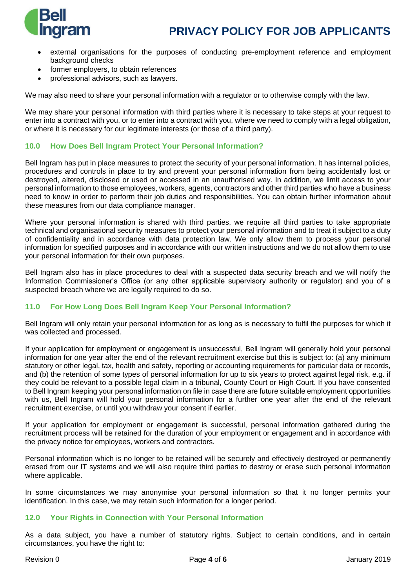

- external organisations for the purposes of conducting pre-employment reference and employment background checks
- former employers, to obtain references
- professional advisors, such as lawyers.

We may also need to share your personal information with a regulator or to otherwise comply with the law.

We may share your personal information with third parties where it is necessary to take steps at your request to enter into a contract with you, or to enter into a contract with you, where we need to comply with a legal obligation, or where it is necessary for our legitimate interests (or those of a third party).

#### **10.0 How Does Bell Ingram Protect Your Personal Information?**

Bell Ingram has put in place measures to protect the security of your personal information. It has internal policies, procedures and controls in place to try and prevent your personal information from being accidentally lost or destroyed, altered, disclosed or used or accessed in an unauthorised way. In addition, we limit access to your personal information to those employees, workers, agents, contractors and other third parties who have a business need to know in order to perform their job duties and responsibilities. You can obtain further information about these measures from our data compliance manager.

Where your personal information is shared with third parties, we require all third parties to take appropriate technical and organisational security measures to protect your personal information and to treat it subject to a duty of confidentiality and in accordance with data protection law. We only allow them to process your personal information for specified purposes and in accordance with our written instructions and we do not allow them to use your personal information for their own purposes.

Bell Ingram also has in place procedures to deal with a suspected data security breach and we will notify the Information Commissioner's Office (or any other applicable supervisory authority or regulator) and you of a suspected breach where we are legally required to do so.

## **11.0 For How Long Does Bell Ingram Keep Your Personal Information?**

Bell Ingram will only retain your personal information for as long as is necessary to fulfil the purposes for which it was collected and processed.

If your application for employment or engagement is unsuccessful, Bell Ingram will generally hold your personal information for one year after the end of the relevant recruitment exercise but this is subject to: (a) any minimum statutory or other legal, tax, health and safety, reporting or accounting requirements for particular data or records, and (b) the retention of some types of personal information for up to six years to protect against legal risk, e.g. if they could be relevant to a possible legal claim in a tribunal, County Court or High Court. If you have consented to Bell Ingram keeping your personal information on file in case there are future suitable employment opportunities with us, Bell Ingram will hold your personal information for a further one year after the end of the relevant recruitment exercise, or until you withdraw your consent if earlier.

If your application for employment or engagement is successful, personal information gathered during the recruitment process will be retained for the duration of your employment or engagement and in accordance with the privacy notice for employees, workers and contractors.

Personal information which is no longer to be retained will be securely and effectively destroyed or permanently erased from our IT systems and we will also require third parties to destroy or erase such personal information where applicable.

In some circumstances we may anonymise your personal information so that it no longer permits your identification. In this case, we may retain such information for a longer period.

#### **12.0 Your Rights in Connection with Your Personal Information**

As a data subject, you have a number of statutory rights. Subject to certain conditions, and in certain circumstances, you have the right to: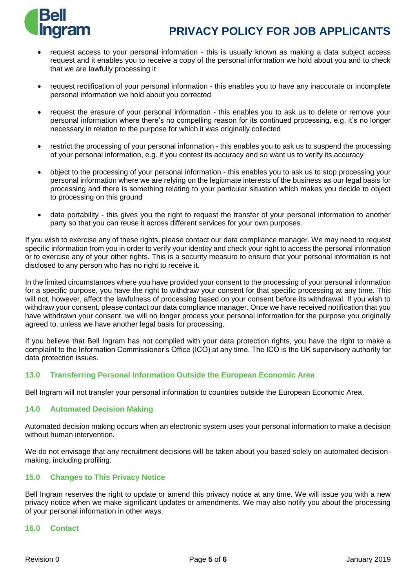

- request access to your personal information this is usually known as making a data subject access request and it enables you to receive a copy of the personal information we hold about you and to check that we are lawfully processing it
- request rectification of your personal information this enables you to have any inaccurate or incomplete personal information we hold about you corrected
- request the erasure of your personal information this enables you to ask us to delete or remove your personal information where there's no compelling reason for its continued processing, e.g. it's no longer necessary in relation to the purpose for which it was originally collected
- restrict the processing of your personal information this enables you to ask us to suspend the processing of your personal information, e.g. if you contest its accuracy and so want us to verify its accuracy
- object to the processing of your personal information this enables you to ask us to stop processing your personal information where we are relying on the legitimate interests of the business as our legal basis for processing and there is something relating to your particular situation which makes you decide to object to processing on this ground
- data portability this gives you the right to request the transfer of your personal information to another party so that you can reuse it across different services for your own purposes.

If you wish to exercise any of these rights, please contact our data compliance manager. We may need to request specific information from you in order to verify your identity and check your right to access the personal information or to exercise any of your other rights. This is a security measure to ensure that your personal information is not disclosed to any person who has no right to receive it.

In the limited circumstances where you have provided your consent to the processing of your personal information for a specific purpose, you have the right to withdraw your consent for that specific processing at any time. This will not, however, affect the lawfulness of processing based on your consent before its withdrawal. If you wish to withdraw your consent, please contact our data compliance manager. Once we have received notification that you have withdrawn your consent, we will no longer process your personal information for the purpose you originally agreed to, unless we have another legal basis for processing.

If you believe that Bell Ingram has not complied with your data protection rights, you have the right to make a complaint to the Information Commissioner's Office (ICO) at any time. The ICO is the UK supervisory authority for data protection issues.

## **13.0 Transferring Personal Information Outside the European Economic Area**

Bell Ingram will not transfer your personal information to countries outside the European Economic Area.

#### **14.0 Automated Decision Making**

Automated decision making occurs when an electronic system uses your personal information to make a decision without human intervention.

We do not envisage that any recruitment decisions will be taken about you based solely on automated decisionmaking, including profiling.

## **15.0 Changes to This Privacy Notice**

Bell Ingram reserves the right to update or amend this privacy notice at any time. We will issue you with a new privacy notice when we make significant updates or amendments. We may also notify you about the processing of your personal information in other ways.

#### **16.0 Contact**